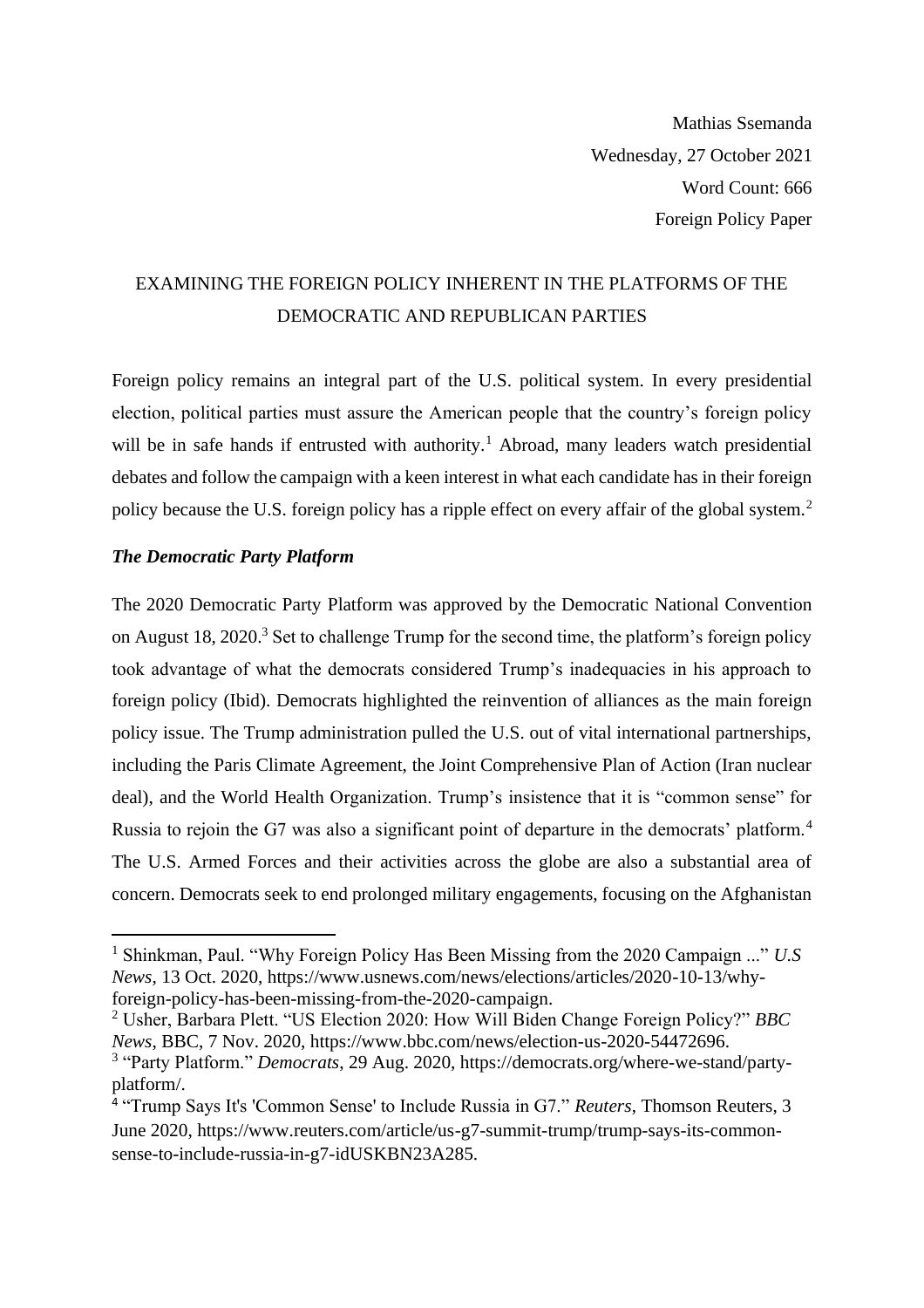Mathias Ssemanda Wednesday, 27 October 2021 Word Count: 666 Foreign Policy Paper

## EXAMINING THE FOREIGN POLICY INHERENT IN THE PLATFORMS OF THE DEMOCRATIC AND REPUBLICAN PARTIES

Foreign policy remains an integral part of the U.S. political system. In every presidential election, political parties must assure the American people that the country's foreign policy will be in safe hands if entrusted with authority.<sup>1</sup> Abroad, many leaders watch presidential debates and follow the campaign with a keen interest in what each candidate has in their foreign policy because the U.S. foreign policy has a ripple effect on every affair of the global system.<sup>2</sup>

## *The Democratic Party Platform*

The 2020 Democratic Party Platform was approved by the Democratic National Convention on August 18, 2020.<sup>3</sup> Set to challenge Trump for the second time, the platform's foreign policy took advantage of what the democrats considered Trump's inadequacies in his approach to foreign policy (Ibid). Democrats highlighted the reinvention of alliances as the main foreign policy issue. The Trump administration pulled the U.S. out of vital international partnerships, including the Paris Climate Agreement, the Joint Comprehensive Plan of Action (Iran nuclear deal), and the World Health Organization. Trump's insistence that it is "common sense" for Russia to rejoin the G7 was also a significant point of departure in the democrats' platform.<sup>4</sup> The U.S. Armed Forces and their activities across the globe are also a substantial area of concern. Democrats seek to end prolonged military engagements, focusing on the Afghanistan

<sup>1</sup> Shinkman, Paul. "Why Foreign Policy Has Been Missing from the 2020 Campaign ..." *U.S News*, 13 Oct. 2020, https://www.usnews.com/news/elections/articles/2020-10-13/whyforeign-policy-has-been-missing-from-the-2020-campaign.

<sup>2</sup> Usher, Barbara Plett. "US Election 2020: How Will Biden Change Foreign Policy?" *BBC News*, BBC, 7 Nov. 2020, https://www.bbc.com/news/election-us-2020-54472696.

<sup>3</sup> "Party Platform." *Democrats*, 29 Aug. 2020, https://democrats.org/where-we-stand/partyplatform/.

<sup>4</sup> "Trump Says It's 'Common Sense' to Include Russia in G7." *Reuters*, Thomson Reuters, 3 June 2020, https://www.reuters.com/article/us-g7-summit-trump/trump-says-its-commonsense-to-include-russia-in-g7-idUSKBN23A285.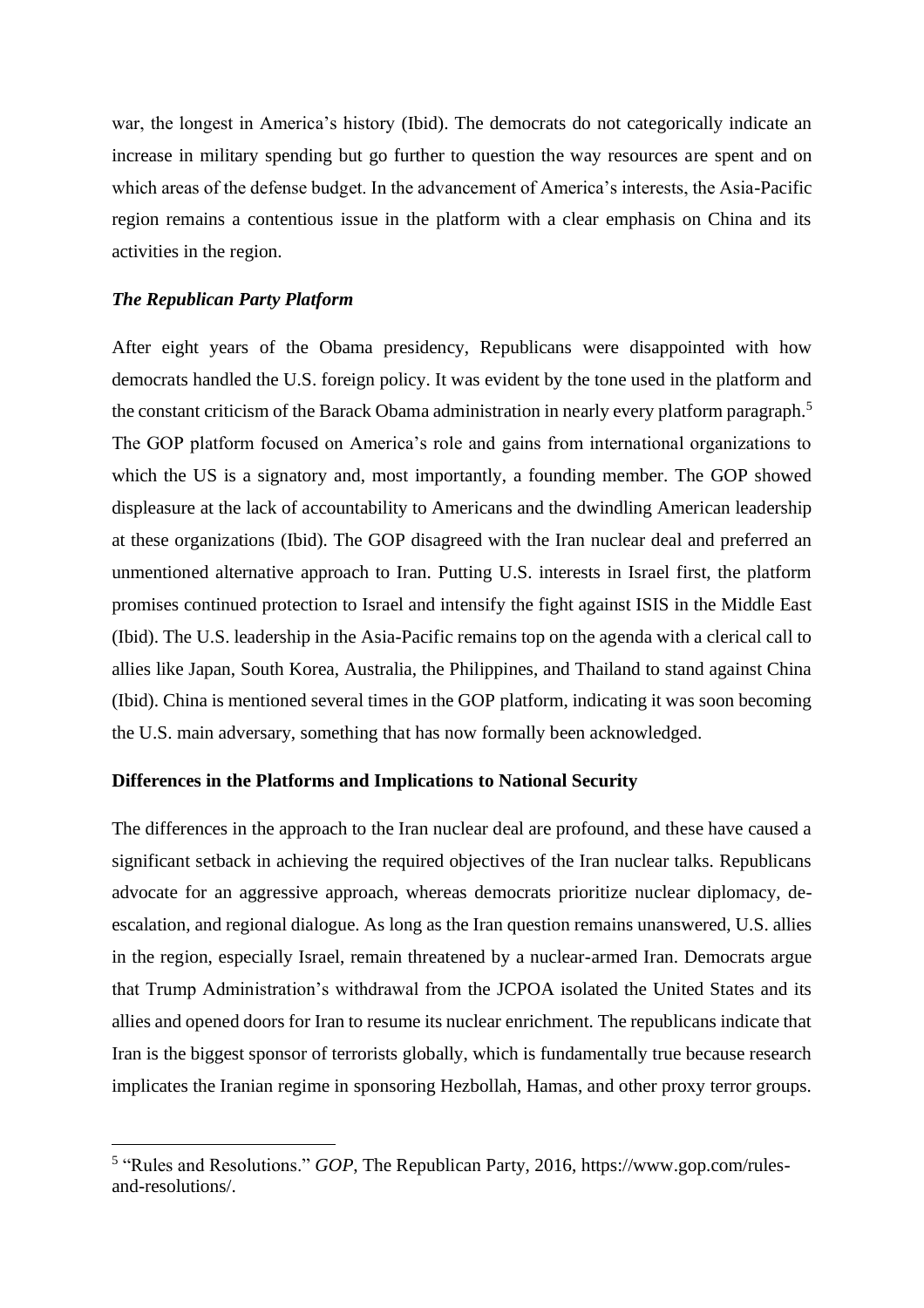war, the longest in America's history (Ibid). The democrats do not categorically indicate an increase in military spending but go further to question the way resources are spent and on which areas of the defense budget. In the advancement of America's interests, the Asia-Pacific region remains a contentious issue in the platform with a clear emphasis on China and its activities in the region.

## *The Republican Party Platform*

After eight years of the Obama presidency, Republicans were disappointed with how democrats handled the U.S. foreign policy. It was evident by the tone used in the platform and the constant criticism of the Barack Obama administration in nearly every platform paragraph.<sup>5</sup> The GOP platform focused on America's role and gains from international organizations to which the US is a signatory and, most importantly, a founding member. The GOP showed displeasure at the lack of accountability to Americans and the dwindling American leadership at these organizations (Ibid). The GOP disagreed with the Iran nuclear deal and preferred an unmentioned alternative approach to Iran. Putting U.S. interests in Israel first, the platform promises continued protection to Israel and intensify the fight against ISIS in the Middle East (Ibid). The U.S. leadership in the Asia-Pacific remains top on the agenda with a clerical call to allies like Japan, South Korea, Australia, the Philippines, and Thailand to stand against China (Ibid). China is mentioned several times in the GOP platform, indicating it was soon becoming the U.S. main adversary, something that has now formally been acknowledged.

## **Differences in the Platforms and Implications to National Security**

The differences in the approach to the Iran nuclear deal are profound, and these have caused a significant setback in achieving the required objectives of the Iran nuclear talks. Republicans advocate for an aggressive approach, whereas democrats prioritize nuclear diplomacy, deescalation, and regional dialogue. As long as the Iran question remains unanswered, U.S. allies in the region, especially Israel, remain threatened by a nuclear-armed Iran. Democrats argue that Trump Administration's withdrawal from the JCPOA isolated the United States and its allies and opened doors for Iran to resume its nuclear enrichment. The republicans indicate that Iran is the biggest sponsor of terrorists globally, which is fundamentally true because research implicates the Iranian regime in sponsoring Hezbollah, Hamas, and other proxy terror groups.

<sup>&</sup>lt;sup>5</sup> "Rules and Resolutions." *GOP*, The Republican Party, 2016, https://www.gop.com/rulesand-resolutions/.